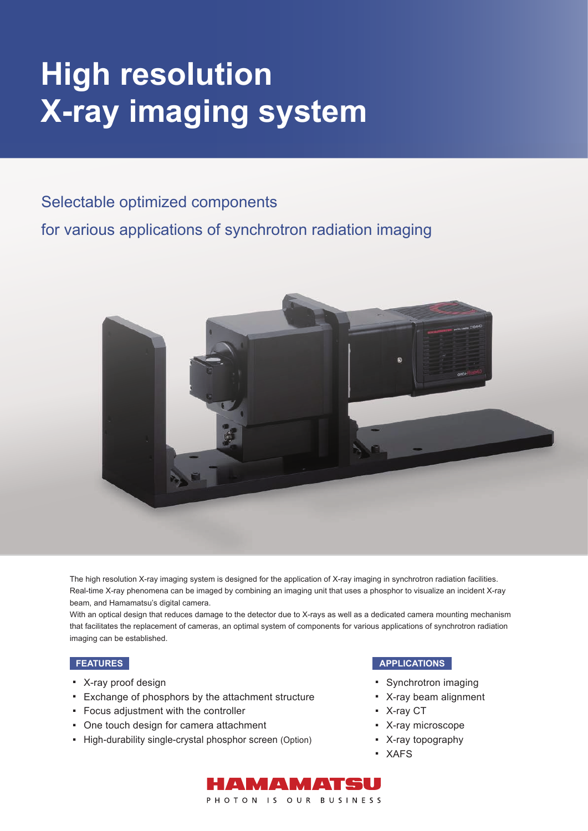# **High resolution X-ray imaging system**

### Selectable optimized components

for various applications of synchrotron radiation imaging



The high resolution X-ray imaging system is designed for the application of X-ray imaging in synchrotron radiation facilities. Real-time X-ray phenomena can be imaged by combining an imaging unit that uses a phosphor to visualize an incident X-ray beam, and Hamamatsu's digital camera.

With an optical design that reduces damage to the detector due to X-rays as well as a dedicated camera mounting mechanism that facilitates the replacement of cameras, an optimal system of components for various applications of synchrotron radiation imaging can be established.

- X-ray proof design ■
- Exchange of phosphors by the attachment structure
- Focus adjustment with the controller
- One touch design for camera attachment ■
- High-durability single-crystal phosphor screen (Option)

#### **FEATURES APPLICATIONS**

- Synchrotron imaging
- X-ray beam alignment
- X-ray CT
- X-ray microscope
- X-ray topography
- XAFS

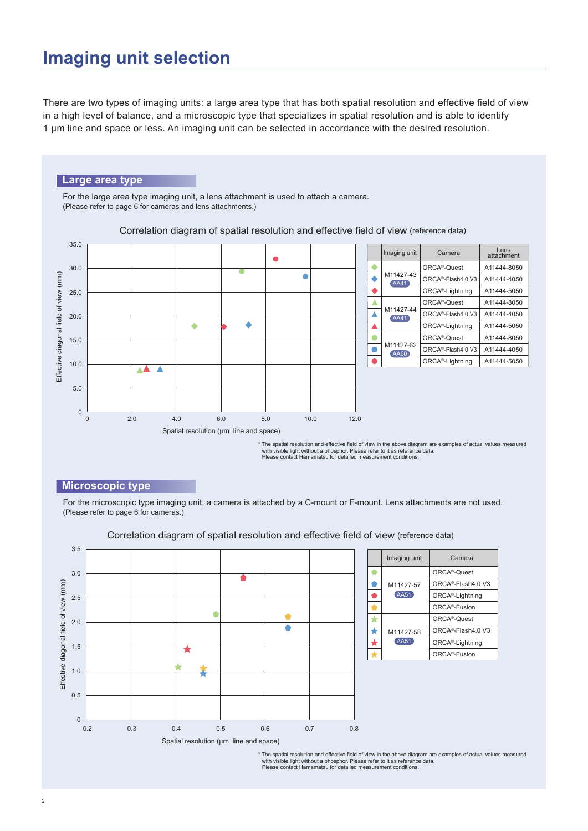## **Imaging unit selection**

There are two types of imaging units: a large area type that has both spatial resolution and effective field of view in a high level of balance, and a microscopic type that specializes in spatial resolution and is able to identify 1 μm line and space or less. An imaging unit can be selected in accordance with the desired resolution.

#### **Large area type**

For the large area type imaging unit, a lens attachment is used to attach a camera. (Please refer to page 6 for cameras and lens attachments.)



Correlation diagram of spatial resolution and effective field of view (reference data)

with visible light without a phosphor. Please refer to it as reference data. Please contact Hamamatsu for detailed measurement conditions.

#### **Microscopic type**

For the microscopic type imaging unit, a camera is attached by a C-mount or F-mount. Lens attachments are not used. (Please refer to page 6 for cameras.)



Correlation diagram of spatial resolution and effective field of view (reference data)

\* The spatial resolution and effective field of view in the above diagram are examples of actual values measured<br>with visible light without a phosphor. Please refer to it as reference data.<br>Please contact Hamamatsu for det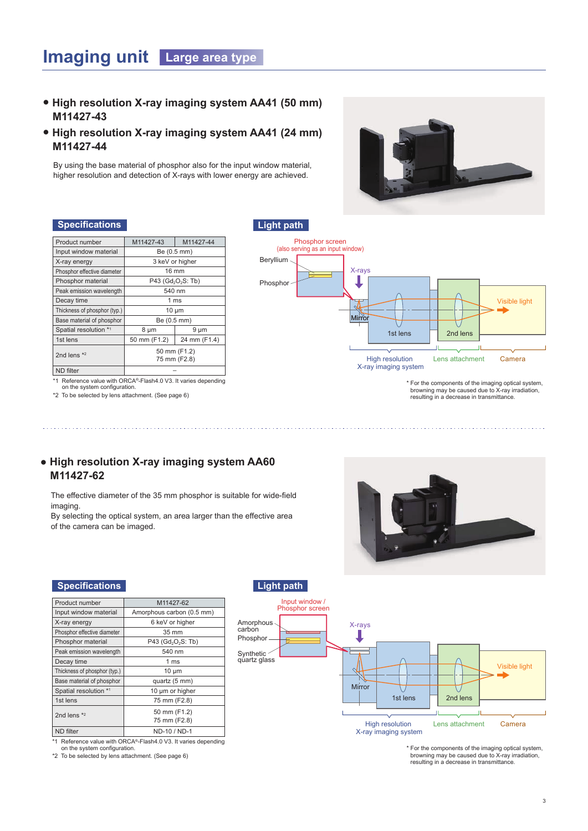### **Imaging unit Large area type**

- **● High resolution X-ray imaging system AA41 (50 mm) M11427-43**
- **● High resolution X-ray imaging system AA41 (24 mm) M11427-44**

By using the base material of phosphor also for the input window material, higher resolution and detection of X-rays with lower energy are achieved.



#### **Specifications CO Light path**

| Product number               | M11427-43       | M11427-44                                  |  |  |
|------------------------------|-----------------|--------------------------------------------|--|--|
| Input window material        |                 | Be (0.5 mm)                                |  |  |
| X-ray energy                 | 3 keV or higher |                                            |  |  |
| Phosphor effective diameter  |                 | $16 \text{ mm}$                            |  |  |
| Phosphor material            |                 | P43 (Gd <sub>2</sub> O <sub>2</sub> S: Tb) |  |  |
| Peak emission wavelength     | 540 nm          |                                            |  |  |
| Decay time                   | 1 ms            |                                            |  |  |
| Thickness of phosphor (typ.) | $10 \mu m$      |                                            |  |  |
| Base material of phosphor    | Be (0.5 mm)     |                                            |  |  |
| Spatial resolution *1        | $8 \mu m$       | $9 \mu m$                                  |  |  |
| 1st lens                     | 50 mm (F1.2)    | 24 mm (F1.4)                               |  |  |
|                              | 50 mm (F1.2)    |                                            |  |  |
| 2nd lens $*2$                | 75 mm (F2.8)    |                                            |  |  |
| <b>ND</b> filter             |                 |                                            |  |  |

\*1 Reference value with ORCA®-Flash4.0 V3. It varies depending on the system configuration.

\*2 To be selected by lens attachment. (See page 6)



\* For the components of the imaging optical system, browning may be caused due to X-ray irradiation, resulting in a decrease in transmittance.

#### **● High resolution X-ray imaging system AA60 M11427-62**

The effective diameter of the 35 mm phosphor is suitable for wide-field imaging.

By selecting the optical system, an area larger than the effective area of the camera can be imaged.



#### **Specifications Light path**

| Product number               | M11427-62                                  |
|------------------------------|--------------------------------------------|
| Input window material        | Amorphous carbon (0.5 mm)                  |
| X-ray energy                 | 6 keV or higher                            |
| Phosphor effective diameter  | $35 \text{ mm}$                            |
| Phosphor material            | P43 (Gd <sub>2</sub> O <sub>2</sub> S: Tb) |
| Peak emission wavelength     | 540 nm                                     |
| Decay time                   | 1 ms                                       |
| Thickness of phosphor (typ.) | $10 \mu m$                                 |
| Base material of phosphor    | quartz (5 mm)                              |
| Spatial resolution *1        | 10 µm or higher                            |
| 1st lens                     | 75 mm (F2.8)                               |
| 2nd lens $*2$                | 50 mm (F1.2)                               |
|                              | 75 mm (F2.8)                               |
| <b>ND</b> filter             | ND-10 / ND-1                               |

\*1 Reference value with ORCA®-Flash4.0 V3. It varies depending on the system configuration.

\*2 To be selected by lens attachment. (See page 6)



\* For the components of the imaging optical system, browning may be caused due to X-ray irradiation, resulting in a decrease in transmittance.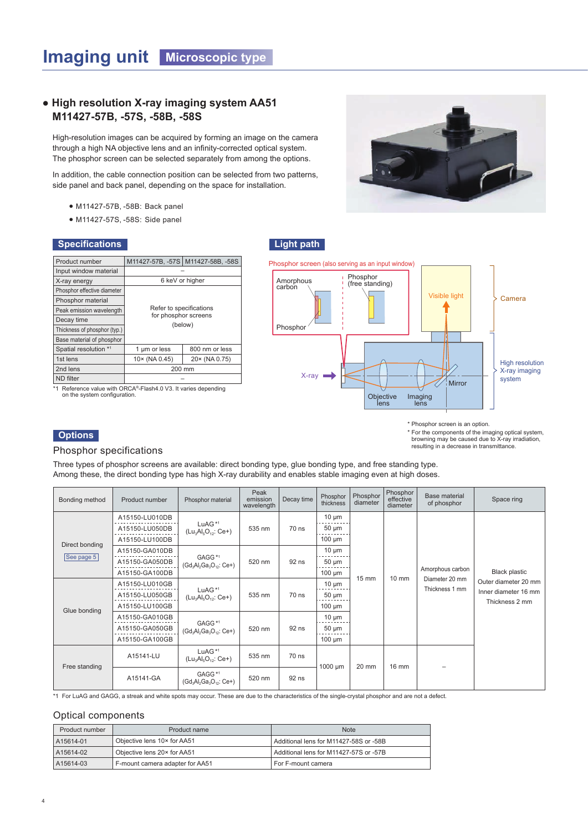#### **● High resolution X-ray imaging system AA51 M11427-57B, -57S, -58B, -58S**

High-resolution images can be acquired by forming an image on the camera through a high NA objective lens and an infinity-corrected optical system. The phosphor screen can be selected separately from among the options.

In addition, the cable connection position can be selected from two patterns, side panel and back panel, depending on the space for installation.

- M11427-57B, -58B: Back panel
- M11427-57S, -58S: Side panel

#### **Specifications**



\*1 Reference value with ORCA®-Flash4.0 V3. It varies depending on the system configuration.



\* Phosphor screen is an option.

\* For the components of the imaging optical system, browning may be caused due to X-ray irradiation, resulting in a decrease in transmittance.

### **Options**

#### Phosphor specifications

Three types of phosphor screens are available: direct bonding type, glue bonding type, and free standing type. Among these, the direct bonding type has high X-ray durability and enables stable imaging even at high doses.

| Bonding method             | Product number | Phosphor material                                                                                          | Peak<br>emission<br>wavelength        | Decay time | Phosphor<br>thickness            | Phosphor<br>diameter | Phosphor<br>effective<br>diameter | <b>Base material</b><br>of phosphor | Space ring                             |
|----------------------------|----------------|------------------------------------------------------------------------------------------------------------|---------------------------------------|------------|----------------------------------|----------------------|-----------------------------------|-------------------------------------|----------------------------------------|
|                            | A15150-LU010DB |                                                                                                            |                                       |            | $10 \mu m$                       |                      |                                   |                                     |                                        |
|                            | A15150-LU050DB | LuAG <sup>*1</sup><br>$(Lu_3Al_5O_{12}:Ce+)$                                                               | 535 nm                                | 70 ns      | $50 \mu m$                       |                      |                                   |                                     |                                        |
| Direct bonding             | A15150-LU100DB |                                                                                                            |                                       |            | $100 \mu m$                      |                      |                                   |                                     |                                        |
|                            | A15150-GA010DB |                                                                                                            |                                       |            | $10 \mu m$                       |                      | $10 \text{ mm}$                   |                                     |                                        |
| $\vert$ See page 5 $\vert$ | A15150-GA050DB | $(Gd_3Al_2Ga_3O_{12}:Ce+$                                                                                  | GAGG <sup>*1</sup><br>92 ns<br>520 nm |            | $50 \mu m$                       |                      |                                   |                                     |                                        |
|                            | A15150-GA100DB |                                                                                                            |                                       |            | $100 \mu m$                      | $15 \text{ mm}$      |                                   | Amorphous carbon                    | <b>Black plastic</b>                   |
|                            | A15150-LU010GB | $10 \mu m$<br>LuAG <sup>*1</sup><br>$50 \mu m$<br>70 ns<br>535 nm<br>$(Lu_3Al_5O_{12}:Ce+)$<br>$100 \mu m$ |                                       |            | Diameter 20 mm<br>Thickness 1 mm | Outer diameter 20 mm |                                   |                                     |                                        |
|                            | A15150-LU050GB |                                                                                                            |                                       |            |                                  |                      |                                   |                                     | Inner diameter 16 mm<br>Thickness 2 mm |
| Glue bonding               | A15150-LU100GB |                                                                                                            |                                       |            |                                  |                      |                                   |                                     |                                        |
|                            | A15150-GA010GB |                                                                                                            | 520 nm                                | 92 ns      | $10 \mu m$                       |                      |                                   |                                     |                                        |
|                            | A15150-GA050GB | GAGG <sup>*1</sup><br>$(Gd_3Al_2Ga_3O_{12}:Ce+$                                                            |                                       |            | $50 \mu m$                       |                      |                                   |                                     |                                        |
|                            | A15150-GA100GB |                                                                                                            |                                       |            | $100 \mu m$                      |                      |                                   |                                     |                                        |
| Free standing              | A15141-LU      | LuAG <sup>*1</sup><br>$(Lu_3Al_5O_{12}:Ce+)$                                                               | 535 nm                                | 70 ns      |                                  |                      | 16 mm                             |                                     |                                        |
|                            | A15141-GA      | GAGG <sup>*1</sup><br>$(Gd_3Al_2Ga_3O_{12}:Ce+$                                                            | 520 nm                                | 92 ns      | $1000 \mu m$                     | 20 mm                |                                   |                                     |                                        |

\*1 For LuAG and GAGG, a streak and white spots may occur. These are due to the characteristics of the single-crystal phosphor and are not a defect.

#### Optical components

| Product number | Product name                    | <b>Note</b>                            |
|----------------|---------------------------------|----------------------------------------|
| A15614-01      | Objective lens 10x for AA51     | Additional lens for M11427-58S or -58B |
| A15614-02      | Objective lens 20x for AA51     | Additional lens for M11427-57S or -57B |
| A15614-03      | F-mount camera adapter for AA51 | For F-mount camera                     |

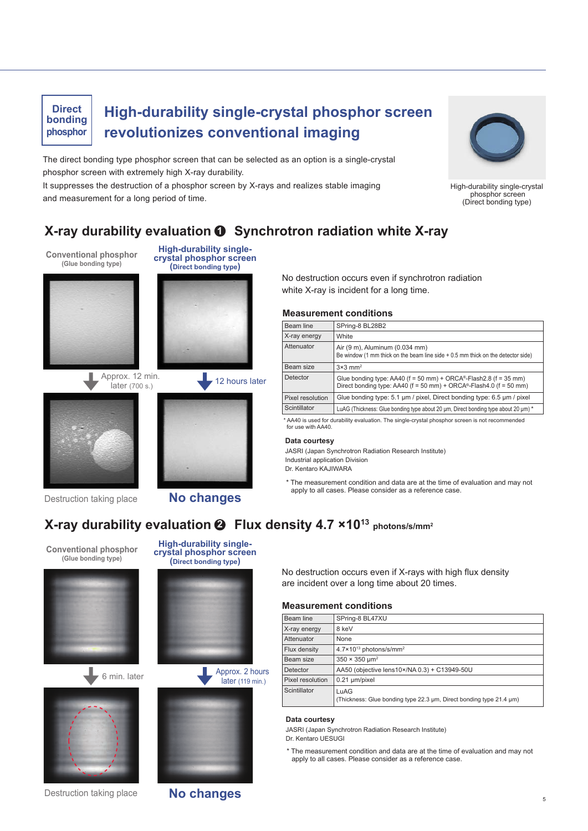### **Direct phosphor**

### **bonding High-durability single-crystal phosphor screen revolutionizes conventional imaging**

The direct bonding type phosphor screen that can be selected as an option is a single-crystal phosphor screen with extremely high X-ray durability.

It suppresses the destruction of a phosphor screen by X-rays and realizes stable imaging and measurement for a long period of time.



High-durability single-crystal phosphor screen (Direct bonding type)

### **X-ray durability evaluation 1 Synchrotron radiation white X-ray**

**Conventional phosphor (Glue bonding type)**



**crystal phosphor screen (Direct bonding type)**

**High-durability single-**





Destruction taking place **No changes**

No destruction occurs even if synchrotron radiation white X-ray is incident for a long time.

#### **Measurement conditions**

| Beam line        | SPring-8 BL28B2                                                                                                                                    |
|------------------|----------------------------------------------------------------------------------------------------------------------------------------------------|
| X-ray energy     | White                                                                                                                                              |
| Attenuator       | Air (9 m), Aluminum (0.034 mm)<br>Be window (1 mm thick on the beam line side $+0.5$ mm thick on the detector side)                                |
| Beam size        | $3\times3$ mm <sup>2</sup>                                                                                                                         |
| Detector         | Glue bonding type: AA40 ( $f = 50$ mm) + ORCA®-Flash2.8 ( $f = 35$ mm)<br>Direct bonding type: AA40 ( $f = 50$ mm) + ORCA®-Flash4.0 ( $f = 50$ mm) |
| Pixel resolution | Glue bonding type: 5.1 µm / pixel, Direct bonding type: 6.5 µm / pixel                                                                             |
| Scintillator     | LuAG (Thickness: Glue bonding type about 20 µm, Direct bonding type about 20 µm) *                                                                 |
|                  |                                                                                                                                                    |

\* AA40 is used for durability evaluation. The single-crystal phosphor screen is not recommended for use with AA40.

#### **Data courtesy**

JASRI (Japan Synchrotron Radiation Research Institute) Industrial application Division Dr. Kentaro KAJIWARA

\* The measurement condition and data are at the time of evaluation and may not apply to all cases. Please consider as a reference case.

### **X-ray durability evaluation Flux density 4.7 ×1013 photons/s/mm2 2**

**Conventional phosphor (Glue bonding type)**





**crystal phosphor screen (Direct bonding type)**

**High-durability single-**



later (119 min.)



No destruction occurs even if X-rays with high flux density are incident over a long time about 20 times.

#### **Measurement conditions**

| Beam line        | SPring-8 BL47XU                                                             |
|------------------|-----------------------------------------------------------------------------|
| X-ray energy     | 8 keV                                                                       |
| Attenuator       | None                                                                        |
| Flux density     | 4.7×10 <sup>13</sup> photons/s/mm <sup>2</sup>                              |
| Beam size        | $350 \times 350 \text{ }\mu\text{m}^2$                                      |
| Detector         | AA50 (objective lens10×/NA 0.3) + C13949-50U                                |
| Pixel resolution | $0.21 \mu m/p$ ixel                                                         |
| Scintillator     | LuAG<br>(Thickness: Glue bonding type 22.3 µm, Direct bonding type 21.4 µm) |

#### **Data courtesy**

JASRI (Japan Synchrotron Radiation Research Institute)

Dr. Kentaro UESUGI

\* The measurement condition and data are at the time of evaluation and may not apply to all cases. Please consider as a reference case.

Destruction taking place **No changes** 

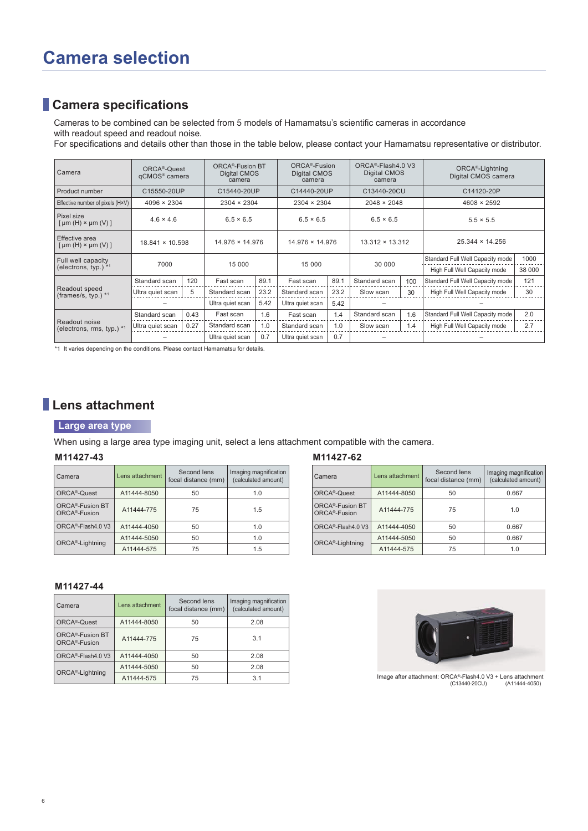### **Camera specifications**

Cameras to be combined can be selected from 5 models of Hamamatsu's scientific cameras in accordance with readout speed and readout noise.

For specifications and details other than those in the table below, please contact your Hamamatsu representative or distributor.

| Camera                                                     | ORCA <sup>®</sup> -Quest<br>qCMOS <sup>®</sup> camera | ORCA®-Fusion BT<br>Digital CMOS<br>camera |                    |      | ORCA <sup>®</sup> -Fusion<br>Digital CMOS<br>camera |      | ORCA®-Flash4.0 V3<br>Digital CMOS<br>camera |     | ORCA <sup>®</sup> -Lightning<br>Digital CMOS camera |        |
|------------------------------------------------------------|-------------------------------------------------------|-------------------------------------------|--------------------|------|-----------------------------------------------------|------|---------------------------------------------|-----|-----------------------------------------------------|--------|
| Product number                                             | C15550-20UP                                           |                                           | C15440-20UP        |      | C14440-20UP                                         |      | C13440-20CU                                 |     | C14120-20P                                          |        |
| Effective number of pixels (H×V)                           | $4096 \times 2304$                                    |                                           | $2304 \times 2304$ |      | $2304 \times 2304$                                  |      | $2048 \times 2048$                          |     | $4608 \times 2592$                                  |        |
| Pixel size<br>$\lceil \mu m(H) \times \mu m(V) \rceil$     | $4.6 \times 4.6$                                      |                                           | $6.5 \times 6.5$   |      | $6.5 \times 6.5$                                    |      | $6.5 \times 6.5$                            |     | $5.5 \times 5.5$                                    |        |
| Effective area<br>$\lceil \mu m(H) \times \mu m(V) \rceil$ | $18.841 \times 10.598$                                |                                           | 14.976 × 14.976    |      | 14.976 × 14.976                                     |      | $13.312 \times 13.312$                      |     | $25.344 \times 14.256$                              |        |
| Full well capacity                                         | 7000                                                  |                                           | 15 000             |      | 15 000                                              |      | 30 000                                      |     | Standard Full Well Capacity mode                    | 1000   |
| (electrons, typ.) $*1$                                     |                                                       |                                           |                    |      |                                                     |      |                                             |     | High Full Well Capacity mode                        | 38 000 |
|                                                            | Standard scan                                         | 120                                       | Fast scan          | 89.1 | Fast scan                                           | 89.1 | Standard scan                               | 100 | Standard Full Well Capacity mode                    | 121    |
| Readout speed<br>(frames/s, typ.) $*1$                     | Ultra quiet scan                                      | 5                                         | Standard scan      | 23.2 | Standard scan                                       | 23.2 | Slow scan                                   | 30  | High Full Well Capacity mode                        | 30     |
|                                                            | 5.42<br>Ultra quiet scan<br>Ultra quiet scan<br>5.42  |                                           |                    |      |                                                     |      |                                             |     |                                                     |        |
|                                                            | Standard scan                                         | 0.43                                      | Fast scan          | 1.6  | Fast scan                                           | 1.4  | Standard scan                               | 1.6 | Standard Full Well Capacity mode                    | 2.0    |
| Readout noise<br>(electrons, rms, typ.) *1                 | Ultra quiet scan                                      | 0.27                                      | Standard scan      | 1.0  | Standard scan                                       | 1.0  | Slow scan                                   | 1.4 | High Full Well Capacity mode                        | 2.7    |
|                                                            |                                                       |                                           | Ultra quiet scan   | 0.7  | Ultra quiet scan                                    | 0.7  |                                             |     |                                                     |        |

\*1 It varies depending on the conditions. Please contact Hamamatsu for details.

### **Lens attachment**

#### **Large area type**

When using a large area type imaging unit, select a lens attachment compatible with the camera.

#### **M11427-43**

| l Camera                                                  | Lens attachment | Second lens<br>focal distance (mm) | Imaging magnification<br>(calculated amount) |
|-----------------------------------------------------------|-----------------|------------------------------------|----------------------------------------------|
| ORCA <sup>®</sup> -Quest                                  | A11444-8050     | 50                                 | 1.0                                          |
| ORCA <sup>®</sup> -Fusion BT<br>ORCA <sup>®</sup> -Fusion | A11444-775      | 75                                 | 1.5                                          |
| ORCA <sup>®</sup> -Flash4.0 V3                            | A11444-4050     | 50                                 | 1.0                                          |
| ORCA <sup>®</sup> -Lightning                              | A11444-5050     | 50                                 | 1.0                                          |
|                                                           | A11444-575      | 75                                 | 1.5                                          |

#### **M11427-44**

| Camera                                                    | Lens attachment | Second lens<br>focal distance (mm) | Imaging magnification<br>(calculated amount) |
|-----------------------------------------------------------|-----------------|------------------------------------|----------------------------------------------|
| ORCA <sup>®</sup> -Quest                                  | A11444-8050     | 50                                 | 2.08                                         |
| ORCA <sup>®</sup> -Fusion BT<br>ORCA <sup>®</sup> -Fusion | A11444-775      | 75                                 | 3.1                                          |
| ORCA <sup>®</sup> -Flash4.0 V3                            | A11444-4050     | 50                                 | 2.08                                         |
| ORCA <sup>®</sup> -Lightning                              | A11444-5050     | 50                                 | 2.08                                         |
|                                                           | A11444-575      | 75                                 | 3.1                                          |

#### **M11427-62**

| Camera                                                    | Lens attachment | Second lens<br>focal distance (mm) | Imaging magnification<br>(calculated amount) |
|-----------------------------------------------------------|-----------------|------------------------------------|----------------------------------------------|
| ORCA <sup>®</sup> -Quest                                  | A11444-8050     | 50                                 | 0.667                                        |
| ORCA <sup>®</sup> -Fusion BT<br>ORCA <sup>®</sup> -Fusion | A11444-775      | 75                                 | 1.0                                          |
| ORCA <sup>®</sup> -Flash4.0 V3                            | A11444-4050     | 50                                 | 0.667                                        |
| ORCA <sup>®</sup> -Lightning                              | A11444-5050     | 50                                 | 0.667                                        |
|                                                           | A11444-575      | 75                                 | 1 በ                                          |



Image after attachment: ORCA®-Flash4.0 V3 + Lens attachment (C13440-20CU)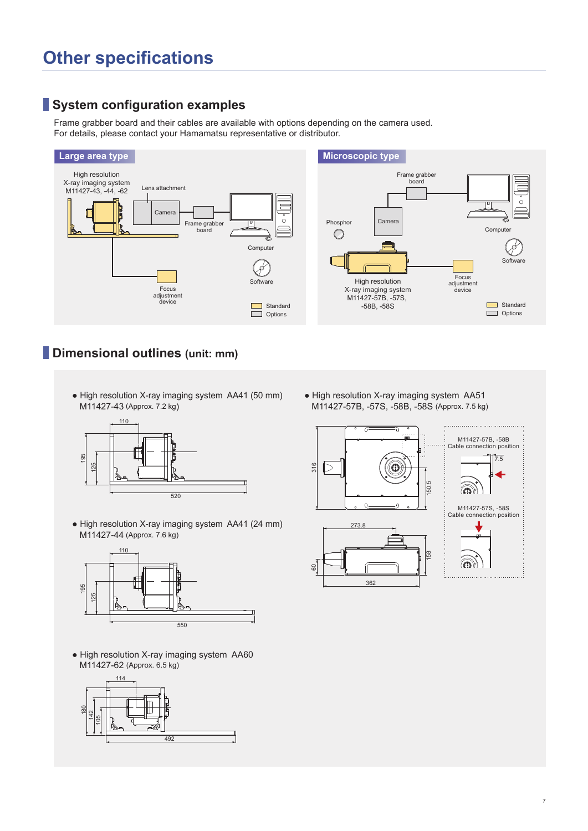# **Other specifications**

### **System configuration examples**

Frame grabber board and their cables are available with options depending on the camera used. For details, please contact your Hamamatsu representative or distributor.



### **Dimensional outlines (unit: mm)**

• High resolution X-ray imaging system AA41 (50 mm) M11427-43 (Approx. 7.2 kg)



• High resolution X-ray imaging system AA41 (24 mm) M11427-44 (Approx. 7.6 kg)



• High resolution X-ray imaging system AA60 M11427-62 (Approx. 6.5 kg)



• High resolution X-ray imaging system AA51 M11427-57B, -57S, -58B, -58S (Approx. 7.5 kg)